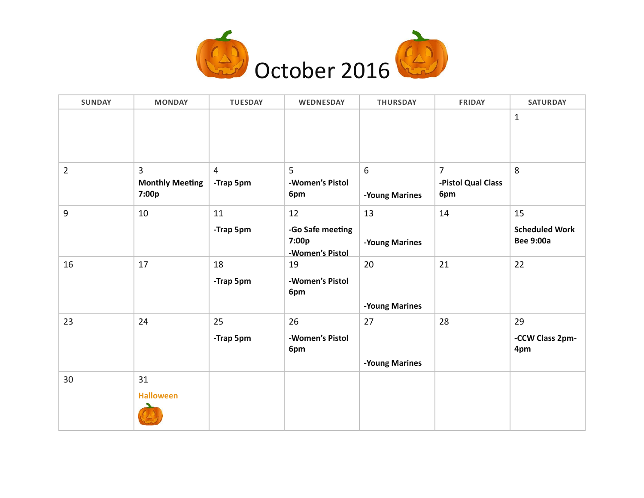

| <b>SUNDAY</b>  | <b>MONDAY</b>                                     | <b>TUESDAY</b>              | WEDNESDAY                                    | <b>THURSDAY</b>      | <b>FRIDAY</b>                               | <b>SATURDAY</b>                           |
|----------------|---------------------------------------------------|-----------------------------|----------------------------------------------|----------------------|---------------------------------------------|-------------------------------------------|
|                |                                                   |                             |                                              |                      |                                             | $1\,$                                     |
| $\overline{2}$ | $\overline{3}$<br><b>Monthly Meeting</b><br>7:00p | $\overline{4}$<br>-Trap 5pm | 5<br>-Women's Pistol<br>6pm                  | 6<br>-Young Marines  | $\overline{7}$<br>-Pistol Qual Class<br>6pm | 8                                         |
| 9              | 10                                                | 11                          | 12                                           | 13                   | 14                                          | 15                                        |
|                |                                                   | -Trap 5pm                   | -Go Safe meeting<br>7:00p<br>-Women's Pistol | -Young Marines       |                                             | <b>Scheduled Work</b><br><b>Bee 9:00a</b> |
| 16             | 17                                                | 18<br>-Trap 5pm             | 19<br>-Women's Pistol<br>6pm                 | 20<br>-Young Marines | 21                                          | 22                                        |
| 23             | 24                                                | 25                          | 26                                           | 27                   | 28                                          | 29                                        |
|                |                                                   | -Trap 5pm                   | -Women's Pistol<br>6pm                       | -Young Marines       |                                             | -CCW Class 2pm-<br>4pm                    |
| 30             | 31<br><b>Halloween</b>                            |                             |                                              |                      |                                             |                                           |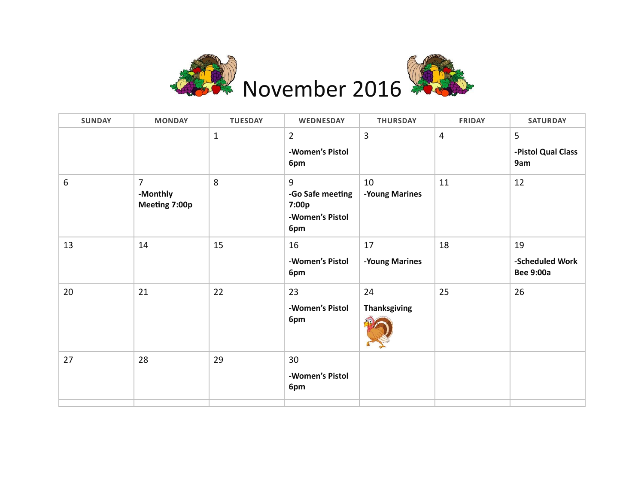

| <b>SUNDAY</b> | <b>MONDAY</b>                               | <b>TUESDAY</b> | WEDNESDAY                                                | <b>THURSDAY</b>           | <b>FRIDAY</b>  | <b>SATURDAY</b>                           |
|---------------|---------------------------------------------|----------------|----------------------------------------------------------|---------------------------|----------------|-------------------------------------------|
|               |                                             | $\mathbf{1}$   | $\overline{2}$<br>-Women's Pistol<br>6pm                 | 3                         | $\overline{4}$ | 5<br>-Pistol Qual Class<br>9am            |
| 6             | $\overline{7}$<br>-Monthly<br>Meeting 7:00p | 8              | 9<br>-Go Safe meeting<br>7:00p<br>-Women's Pistol<br>6pm | 10<br>-Young Marines      | 11             | 12                                        |
| 13            | 14                                          | 15             | 16<br>-Women's Pistol<br>6pm                             | 17<br>-Young Marines      | 18             | 19<br>-Scheduled Work<br><b>Bee 9:00a</b> |
| 20            | 21                                          | 22             | 23<br>-Women's Pistol<br>6pm                             | 24<br><b>Thanksgiving</b> | 25             | 26                                        |
| 27            | 28                                          | 29             | 30<br>-Women's Pistol<br>6pm                             |                           |                |                                           |
|               |                                             |                |                                                          |                           |                |                                           |